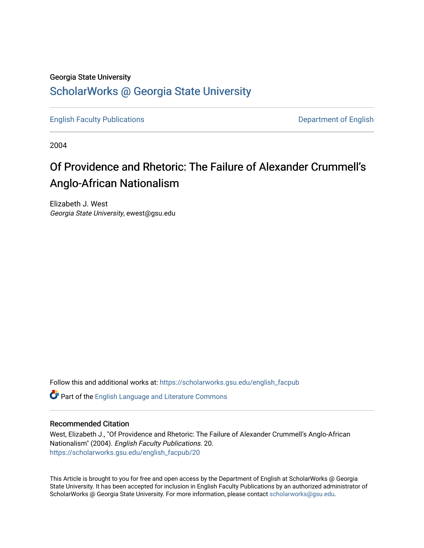### Georgia State University

## [ScholarWorks @ Georgia State University](https://scholarworks.gsu.edu/)

[English Faculty Publications](https://scholarworks.gsu.edu/english_facpub) **Department of English** 

2004

# Of Providence and Rhetoric: The Failure of Alexander Crummell's Anglo-African Nationalism

Elizabeth J. West Georgia State University, ewest@gsu.edu

Follow this and additional works at: [https://scholarworks.gsu.edu/english\\_facpub](https://scholarworks.gsu.edu/english_facpub?utm_source=scholarworks.gsu.edu%2Fenglish_facpub%2F20&utm_medium=PDF&utm_campaign=PDFCoverPages)

Part of the [English Language and Literature Commons](http://network.bepress.com/hgg/discipline/455?utm_source=scholarworks.gsu.edu%2Fenglish_facpub%2F20&utm_medium=PDF&utm_campaign=PDFCoverPages)

#### Recommended Citation

West, Elizabeth J., "Of Providence and Rhetoric: The Failure of Alexander Crummell's Anglo-African Nationalism" (2004). English Faculty Publications. 20. [https://scholarworks.gsu.edu/english\\_facpub/20](https://scholarworks.gsu.edu/english_facpub/20?utm_source=scholarworks.gsu.edu%2Fenglish_facpub%2F20&utm_medium=PDF&utm_campaign=PDFCoverPages) 

This Article is brought to you for free and open access by the Department of English at ScholarWorks @ Georgia State University. It has been accepted for inclusion in English Faculty Publications by an authorized administrator of ScholarWorks @ Georgia State University. For more information, please contact [scholarworks@gsu.edu](mailto:scholarworks@gsu.edu).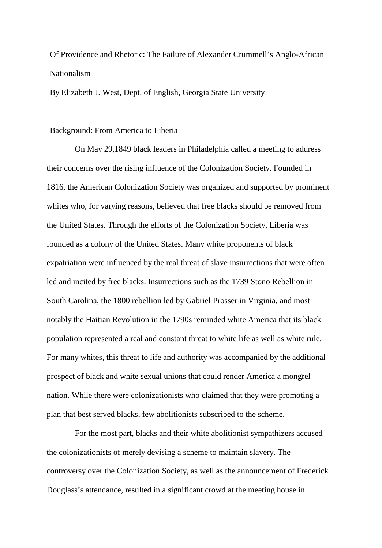## Of Providence and Rhetoric: The Failure of Alexander Crummell's Anglo-African Nationalism

By Elizabeth J. West, Dept. of English, Georgia State University

#### Background: From America to Liberia

On May 29,1849 black leaders in Philadelphia called a meeting to address their concerns over the rising influence of the Colonization Society. Founded in 1816, the American Colonization Society was organized and supported by prominent whites who, for varying reasons, believed that free blacks should be removed from the United States. Through the efforts of the Colonization Society, Liberia was founded as a colony of the United States. Many white proponents of black expatriation were influenced by the real threat of slave insurrections that were often led and incited by free blacks. Insurrections such as the 1739 Stono Rebellion in South Carolina, the 1800 rebellion led by Gabriel Prosser in Virginia, and most notably the Haitian Revolution in the 1790s reminded white America that its black population represented a real and constant threat to white life as well as white rule. For many whites, this threat to life and authority was accompanied by the additional prospect of black and white sexual unions that could render America a mongrel nation. While there were colonizationists who claimed that they were promoting a plan that best served blacks, few abolitionists subscribed to the scheme.

For the most part, blacks and their white abolitionist sympathizers accused the colonizationists of merely devising a scheme to maintain slavery. The controversy over the Colonization Society, as well as the announcement of Frederick Douglass's attendance, resulted in a significant crowd at the meeting house in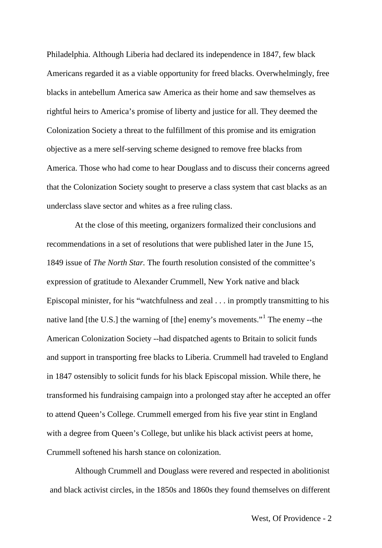Philadelphia. Although Liberia had declared its independence in 1847, few black Americans regarded it as a viable opportunity for freed blacks. Overwhelmingly, free blacks in antebellum America saw America as their home and saw themselves as rightful heirs to America's promise of liberty and justice for all. They deemed the Colonization Society a threat to the fulfillment of this promise and its emigration objective as a mere self-serving scheme designed to remove free blacks from America. Those who had come to hear Douglass and to discuss their concerns agreed that the Colonization Society sought to preserve a class system that cast blacks as an underclass slave sector and whites as a free ruling class.

At the close of this meeting, organizers formalized their conclusions and recommendations in a set of resolutions that were published later in the June 15, 1849 issue of *The North Star.* The fourth resolution consisted of the committee's expression of gratitude to Alexander Crummell, New York native and black Episcopal minister, for his "watchfulness and zeal . . . in promptly transmitting to his native land [the U.S.] the warning of [the] enemy's movements."<sup>[1](#page-27-0)</sup> The enemy --the American Colonization Society --had dispatched agents to Britain to solicit funds and support in transporting free blacks to Liberia. Crummell had traveled to England in 1847 ostensibly to solicit funds for his black Episcopal mission. While there, he transformed his fundraising campaign into a prolonged stay after he accepted an offer to attend Queen's College. Crummell emerged from his five year stint in England with a degree from Queen's College, but unlike his black activist peers at home, Crummell softened his harsh stance on colonization.

Although Crummell and Douglass were revered and respected in abolitionist and black activist circles, in the 1850s and 1860s they found themselves on different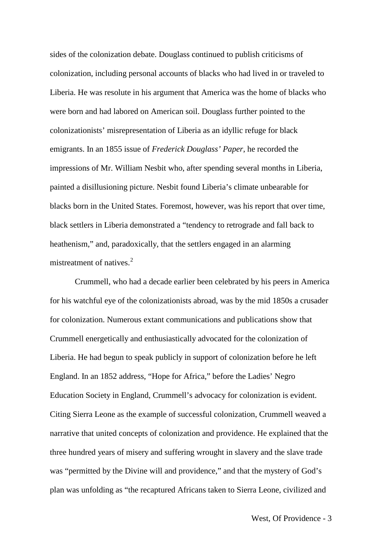sides of the colonization debate. Douglass continued to publish criticisms of colonization, including personal accounts of blacks who had lived in or traveled to Liberia. He was resolute in his argument that America was the home of blacks who were born and had labored on American soil. Douglass further pointed to the colonizationists' misrepresentation of Liberia as an idyllic refuge for black emigrants. In an 1855 issue of *Frederick Douglass' Paper*, he recorded the impressions of Mr. William Nesbit who, after spending several months in Liberia, painted a disillusioning picture. Nesbit found Liberia's climate unbearable for blacks born in the United States. Foremost, however, was his report that over time, black settlers in Liberia demonstrated a "tendency to retrograde and fall back to heathenism," and, paradoxically, that the settlers engaged in an alarming mistreatment of natives.<sup>[2](#page-28-0)</sup>

Crummell, who had a decade earlier been celebrated by his peers in America for his watchful eye of the colonizationists abroad, was by the mid 1850s a crusader for colonization. Numerous extant communications and publications show that Crummell energetically and enthusiastically advocated for the colonization of Liberia. He had begun to speak publicly in support of colonization before he left England. In an 1852 address, "Hope for Africa," before the Ladies' Negro Education Society in England, Crummell's advocacy for colonization is evident. Citing Sierra Leone as the example of successful colonization, Crummell weaved a narrative that united concepts of colonization and providence. He explained that the three hundred years of misery and suffering wrought in slavery and the slave trade was "permitted by the Divine will and providence," and that the mystery of God's plan was unfolding as "the recaptured Africans taken to Sierra Leone, civilized and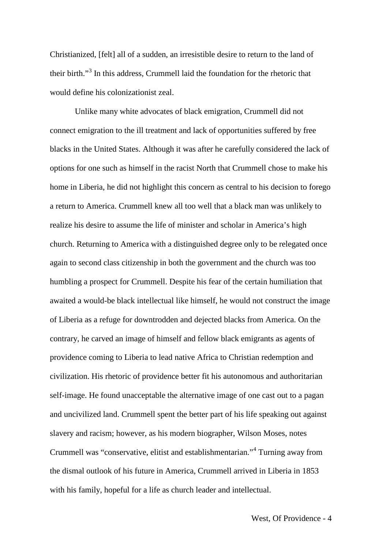Christianized, [felt] all of a sudden, an irresistible desire to return to the land of their birth."[3](#page-29-0) In this address, Crummell laid the foundation for the rhetoric that would define his colonizationist zeal.

Unlike many white advocates of black emigration, Crummell did not connect emigration to the ill treatment and lack of opportunities suffered by free blacks in the United States. Although it was after he carefully considered the lack of options for one such as himself in the racist North that Crummell chose to make his home in Liberia, he did not highlight this concern as central to his decision to forego a return to America. Crummell knew all too well that a black man was unlikely to realize his desire to assume the life of minister and scholar in America's high church. Returning to America with a distinguished degree only to be relegated once again to second class citizenship in both the government and the church was too humbling a prospect for Crummell. Despite his fear of the certain humiliation that awaited a would-be black intellectual like himself, he would not construct the image of Liberia as a refuge for downtrodden and dejected blacks from America. On the contrary, he carved an image of himself and fellow black emigrants as agents of providence coming to Liberia to lead native Africa to Christian redemption and civilization. His rhetoric of providence better fit his autonomous and authoritarian self-image. He found unacceptable the alternative image of one cast out to a pagan and uncivilized land. Crummell spent the better part of his life speaking out against slavery and racism; however, as his modern biographer, Wilson Moses, notes Crummell was "conservative, elitist and establishmentarian."[4](#page-29-1) Turning away from the dismal outlook of his future in America, Crummell arrived in Liberia in 1853 with his family, hopeful for a life as church leader and intellectual.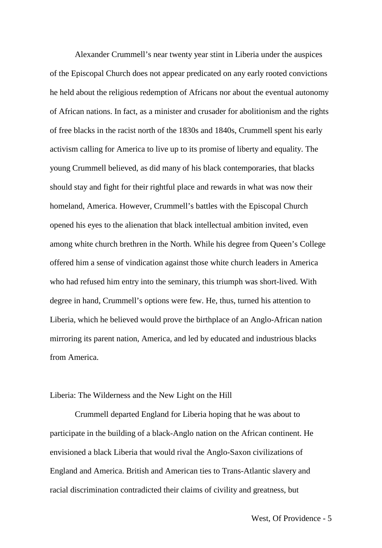Alexander Crummell's near twenty year stint in Liberia under the auspices of the Episcopal Church does not appear predicated on any early rooted convictions he held about the religious redemption of Africans nor about the eventual autonomy of African nations. In fact, as a minister and crusader for abolitionism and the rights of free blacks in the racist north of the 1830s and 1840s, Crummell spent his early activism calling for America to live up to its promise of liberty and equality. The young Crummell believed, as did many of his black contemporaries, that blacks should stay and fight for their rightful place and rewards in what was now their homeland, America. However, Crummell's battles with the Episcopal Church opened his eyes to the alienation that black intellectual ambition invited, even among white church brethren in the North. While his degree from Queen's College offered him a sense of vindication against those white church leaders in America who had refused him entry into the seminary, this triumph was short-lived. With degree in hand, Crummell's options were few. He, thus, turned his attention to Liberia, which he believed would prove the birthplace of an Anglo-African nation mirroring its parent nation, America, and led by educated and industrious blacks from America.

#### Liberia: The Wilderness and the New Light on the Hill

Crummell departed England for Liberia hoping that he was about to participate in the building of a black-Anglo nation on the African continent. He envisioned a black Liberia that would rival the Anglo-Saxon civilizations of England and America. British and American ties to Trans-Atlantic slavery and racial discrimination contradicted their claims of civility and greatness, but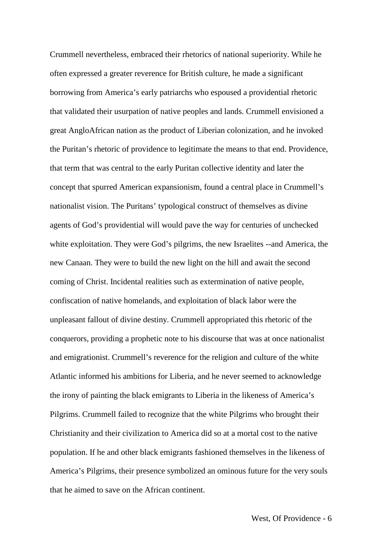Crummell nevertheless, embraced their rhetorics of national superiority. While he often expressed a greater reverence for British culture, he made a significant borrowing from America's early patriarchs who espoused a providential rhetoric that validated their usurpation of native peoples and lands. Crummell envisioned a great AngloAfrican nation as the product of Liberian colonization, and he invoked the Puritan's rhetoric of providence to legitimate the means to that end. Providence, that term that was central to the early Puritan collective identity and later the concept that spurred American expansionism, found a central place in Crummell's nationalist vision. The Puritans' typological construct of themselves as divine agents of God's providential will would pave the way for centuries of unchecked white exploitation. They were God's pilgrims, the new Israelites --and America, the new Canaan. They were to build the new light on the hill and await the second coming of Christ. Incidental realities such as extermination of native people, confiscation of native homelands, and exploitation of black labor were the unpleasant fallout of divine destiny. Crummell appropriated this rhetoric of the conquerors, providing a prophetic note to his discourse that was at once nationalist and emigrationist. Crummell's reverence for the religion and culture of the white Atlantic informed his ambitions for Liberia, and he never seemed to acknowledge the irony of painting the black emigrants to Liberia in the likeness of America's Pilgrims. Crummell failed to recognize that the white Pilgrims who brought their Christianity and their civilization to America did so at a mortal cost to the native population. If he and other black emigrants fashioned themselves in the likeness of America's Pilgrims, their presence symbolized an ominous future for the very souls that he aimed to save on the African continent.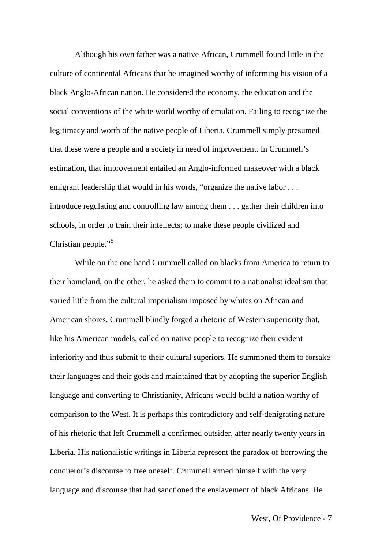Although his own father was a native African, Crummell found little in the culture of continental Africans that he imagined worthy of informing his vision of a black Anglo-African nation. He considered the economy, the education and the social conventions of the white world worthy of emulation. Failing to recognize the legitimacy and worth of the native people of Liberia, Crummell simply presumed that these were a people and a society in need of improvement. In Crummell's estimation, that improvement entailed an Anglo-informed makeover with a black emigrant leadership that would in his words, "organize the native labor . . . introduce regulating and controlling law among them . . . gather their children into schools, in order to train their intellects; to make these people civilized and Christian people."<sup>[5](#page-30-0)</sup>

While on the one hand Crummell called on blacks from America to return to their homeland, on the other, he asked them to commit to a nationalist idealism that varied little from the cultural imperialism imposed by whites on African and American shores. Crummell blindly forged a rhetoric of Western superiority that, like his American models, called on native people to recognize their evident inferiority and thus submit to their cultural superiors. He summoned them to forsake their languages and their gods and maintained that by adopting the superior English language and converting to Christianity, Africans would build a nation worthy of comparison to the West. It is perhaps this contradictory and self-denigrating nature of his rhetoric that left Crummell a confirmed outsider, after nearly twenty years in Liberia. His nationalistic writings in Liberia represent the paradox of borrowing the conqueror's discourse to free oneself. Crummell armed himself with the very language and discourse that had sanctioned the enslavement of black Africans. He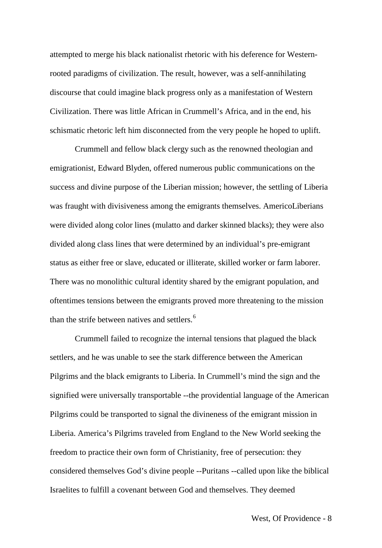attempted to merge his black nationalist rhetoric with his deference for Westernrooted paradigms of civilization. The result, however, was a self-annihilating discourse that could imagine black progress only as a manifestation of Western Civilization. There was little African in Crummell's Africa, and in the end, his schismatic rhetoric left him disconnected from the very people he hoped to uplift.

Crummell and fellow black clergy such as the renowned theologian and emigrationist, Edward Blyden, offered numerous public communications on the success and divine purpose of the Liberian mission; however, the settling of Liberia was fraught with divisiveness among the emigrants themselves. AmericoLiberians were divided along color lines (mulatto and darker skinned blacks); they were also divided along class lines that were determined by an individual's pre-emigrant status as either free or slave, educated or illiterate, skilled worker or farm laborer. There was no monolithic cultural identity shared by the emigrant population, and oftentimes tensions between the emigrants proved more threatening to the mission than the strife between natives and settlers. [6](#page-30-1)

Crummell failed to recognize the internal tensions that plagued the black settlers, and he was unable to see the stark difference between the American Pilgrims and the black emigrants to Liberia. In Crummell's mind the sign and the signified were universally transportable --the providential language of the American Pilgrims could be transported to signal the divineness of the emigrant mission in Liberia. America's Pilgrims traveled from England to the New World seeking the freedom to practice their own form of Christianity, free of persecution: they considered themselves God's divine people --Puritans --called upon like the biblical Israelites to fulfill a covenant between God and themselves. They deemed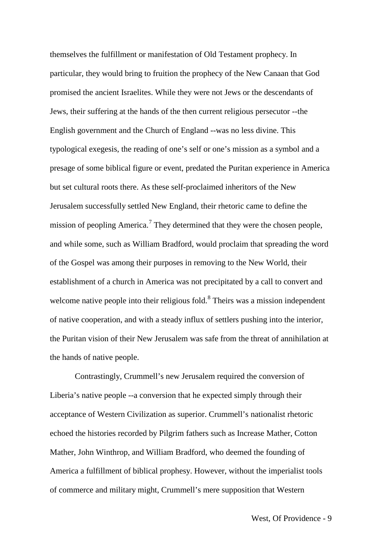themselves the fulfillment or manifestation of Old Testament prophecy. In particular, they would bring to fruition the prophecy of the New Canaan that God promised the ancient Israelites. While they were not Jews or the descendants of Jews, their suffering at the hands of the then current religious persecutor --the English government and the Church of England --was no less divine. This typological exegesis, the reading of one's self or one's mission as a symbol and a presage of some biblical figure or event, predated the Puritan experience in America but set cultural roots there. As these self-proclaimed inheritors of the New Jerusalem successfully settled New England, their rhetoric came to define the mission of peopling America.<sup>[7](#page-30-2)</sup> They determined that they were the chosen people, and while some, such as William Bradford, would proclaim that spreading the word of the Gospel was among their purposes in removing to the New World, their establishment of a church in America was not precipitated by a call to convert and welcome native people into their religious fold.<sup>[8](#page-30-3)</sup> Theirs was a mission independent of native cooperation, and with a steady influx of settlers pushing into the interior, the Puritan vision of their New Jerusalem was safe from the threat of annihilation at the hands of native people.

Contrastingly, Crummell's new Jerusalem required the conversion of Liberia's native people --a conversion that he expected simply through their acceptance of Western Civilization as superior. Crummell's nationalist rhetoric echoed the histories recorded by Pilgrim fathers such as Increase Mather, Cotton Mather, John Winthrop, and William Bradford, who deemed the founding of America a fulfillment of biblical prophesy. However, without the imperialist tools of commerce and military might, Crummell's mere supposition that Western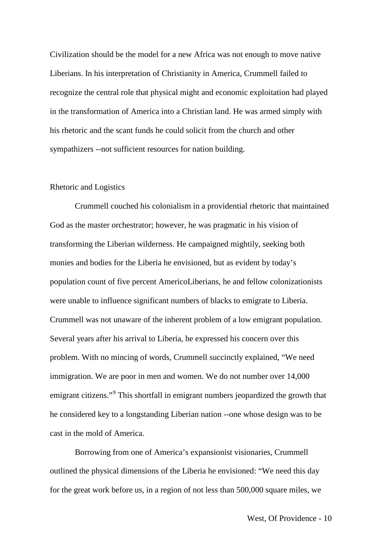Civilization should be the model for a new Africa was not enough to move native Liberians. In his interpretation of Christianity in America, Crummell failed to recognize the central role that physical might and economic exploitation had played in the transformation of America into a Christian land. He was armed simply with his rhetoric and the scant funds he could solicit from the church and other sympathizers --not sufficient resources for nation building.

#### Rhetoric and Logistics

Crummell couched his colonialism in a providential rhetoric that maintained God as the master orchestrator; however, he was pragmatic in his vision of transforming the Liberian wilderness. He campaigned mightily, seeking both monies and bodies for the Liberia he envisioned, but as evident by today's population count of five percent AmericoLiberians, he and fellow colonizationists were unable to influence significant numbers of blacks to emigrate to Liberia. Crummell was not unaware of the inherent problem of a low emigrant population. Several years after his arrival to Liberia, he expressed his concern over this problem. With no mincing of words, Crummell succinctly explained, "We need immigration. We are poor in men and women. We do not number over 14,000 emigrant citizens."<sup>[9](#page-30-4)</sup> This shortfall in emigrant numbers jeopardized the growth that he considered key to a longstanding Liberian nation --one whose design was to be cast in the mold of America.

Borrowing from one of America's expansionist visionaries, Crummell outlined the physical dimensions of the Liberia he envisioned: "We need this day for the great work before us, in a region of not less than 500,000 square miles, we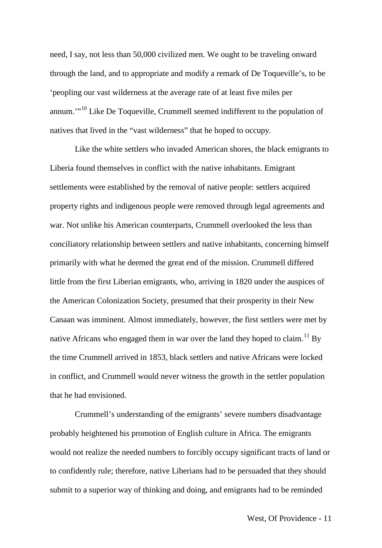need, I say, not less than 50,000 civilized men. We ought to be traveling onward through the land, and to appropriate and modify a remark of De Toqueville's, to be 'peopling our vast wilderness at the average rate of at least five miles per annum.'"[10](#page-30-5) Like De Toqueville, Crummell seemed indifferent to the population of natives that lived in the "vast wilderness" that he hoped to occupy.

Like the white settlers who invaded American shores, the black emigrants to Liberia found themselves in conflict with the native inhabitants. Emigrant settlements were established by the removal of native people: settlers acquired property rights and indigenous people were removed through legal agreements and war. Not unlike his American counterparts, Crummell overlooked the less than conciliatory relationship between settlers and native inhabitants, concerning himself primarily with what he deemed the great end of the mission. Crummell differed little from the first Liberian emigrants, who, arriving in 1820 under the auspices of the American Colonization Society, presumed that their prosperity in their New Canaan was imminent. Almost immediately, however, the first settlers were met by native Africans who engaged them in war over the land they hoped to claim.<sup>[11](#page-30-6)</sup> By the time Crummell arrived in 1853, black settlers and native Africans were locked in conflict, and Crummell would never witness the growth in the settler population that he had envisioned.

Crummell's understanding of the emigrants' severe numbers disadvantage probably heightened his promotion of English culture in Africa. The emigrants would not realize the needed numbers to forcibly occupy significant tracts of land or to confidently rule; therefore, native Liberians had to be persuaded that they should submit to a superior way of thinking and doing, and emigrants had to be reminded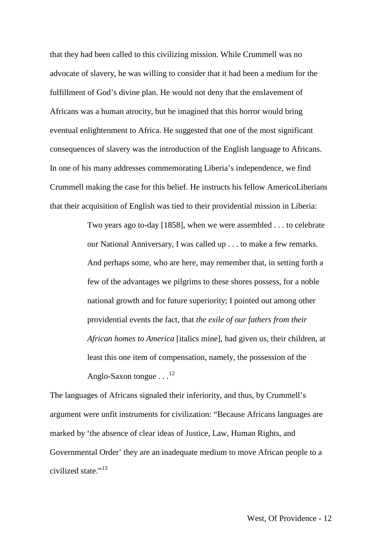that they had been called to this civilizing mission. While Crummell was no advocate of slavery, he was willing to consider that it had been a medium for the fulfillment of God's divine plan. He would not deny that the enslavement of Africans was a human atrocity, but he imagined that this horror would bring eventual enlightenment to Africa. He suggested that one of the most significant consequences of slavery was the introduction of the English language to Africans. In one of his many addresses commemorating Liberia's independence, we find Crummell making the case for this belief. He instructs his fellow AmericoLiberians that their acquisition of English was tied to their providential mission in Liberia:

> Two years ago to-day [1858], when we were assembled . . . to celebrate our National Anniversary, I was called up . . . to make a few remarks. And perhaps some, who are here, may remember that, in setting forth a few of the advantages we pilgrims to these shores possess, for a noble national growth and for future superiority; I pointed out among other providential events the fact, that *the exile of our fathers from their African homes to America* [italics mine], had given us, their children, at least this one item of compensation, namely, the possession of the Anglo-Saxon tongue . . .<sup>[12](#page-30-2)</sup>

The languages of Africans signaled their inferiority, and thus, by Crummell's argument were unfit instruments for civilization: "Because Africans languages are marked by 'the absence of clear ideas of Justice, Law, Human Rights, and Governmental Order' they are an inadequate medium to move African people to a civilized state."[13](#page-30-7)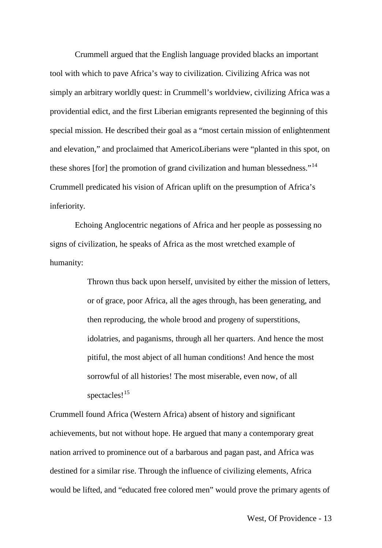Crummell argued that the English language provided blacks an important tool with which to pave Africa's way to civilization. Civilizing Africa was not simply an arbitrary worldly quest: in Crummell's worldview, civilizing Africa was a providential edict, and the first Liberian emigrants represented the beginning of this special mission. He described their goal as a "most certain mission of enlightenment and elevation," and proclaimed that AmericoLiberians were "planted in this spot, on these shores [for] the promotion of grand civilization and human blessedness."<sup>[14](#page-30-8)</sup> Crummell predicated his vision of African uplift on the presumption of Africa's inferiority.

Echoing Anglocentric negations of Africa and her people as possessing no signs of civilization, he speaks of Africa as the most wretched example of humanity:

> Thrown thus back upon herself, unvisited by either the mission of letters, or of grace, poor Africa, all the ages through, has been generating, and then reproducing, the whole brood and progeny of superstitions, idolatries, and paganisms, through all her quarters. And hence the most pitiful, the most abject of all human conditions! And hence the most sorrowful of all histories! The most miserable, even now, of all spectacles!<sup>[15](#page-30-9)</sup>

Crummell found Africa (Western Africa) absent of history and significant achievements, but not without hope. He argued that many a contemporary great nation arrived to prominence out of a barbarous and pagan past, and Africa was destined for a similar rise. Through the influence of civilizing elements, Africa would be lifted, and "educated free colored men" would prove the primary agents of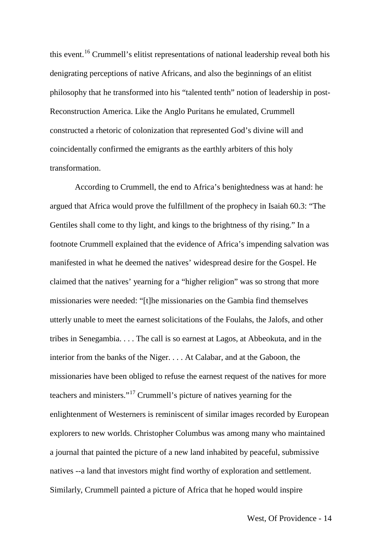this event.[16](#page-30-10) Crummell's elitist representations of national leadership reveal both his denigrating perceptions of native Africans, and also the beginnings of an elitist philosophy that he transformed into his "talented tenth" notion of leadership in post-Reconstruction America. Like the Anglo Puritans he emulated, Crummell constructed a rhetoric of colonization that represented God's divine will and coincidentally confirmed the emigrants as the earthly arbiters of this holy transformation.

According to Crummell, the end to Africa's benightedness was at hand: he argued that Africa would prove the fulfillment of the prophecy in Isaiah 60.3: "The Gentiles shall come to thy light, and kings to the brightness of thy rising." In a footnote Crummell explained that the evidence of Africa's impending salvation was manifested in what he deemed the natives' widespread desire for the Gospel. He claimed that the natives' yearning for a "higher religion" was so strong that more missionaries were needed: "[t]he missionaries on the Gambia find themselves utterly unable to meet the earnest solicitations of the Foulahs, the Jalofs, and other tribes in Senegambia. . . . The call is so earnest at Lagos, at Abbeokuta, and in the interior from the banks of the Niger. . . . At Calabar, and at the Gaboon, the missionaries have been obliged to refuse the earnest request of the natives for more teachers and ministers."[17](#page-30-4) Crummell's picture of natives yearning for the enlightenment of Westerners is reminiscent of similar images recorded by European explorers to new worlds. Christopher Columbus was among many who maintained a journal that painted the picture of a new land inhabited by peaceful, submissive natives --a land that investors might find worthy of exploration and settlement. Similarly, Crummell painted a picture of Africa that he hoped would inspire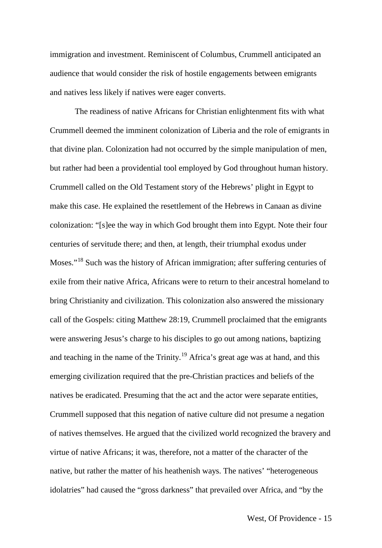immigration and investment. Reminiscent of Columbus, Crummell anticipated an audience that would consider the risk of hostile engagements between emigrants and natives less likely if natives were eager converts.

The readiness of native Africans for Christian enlightenment fits with what Crummell deemed the imminent colonization of Liberia and the role of emigrants in that divine plan. Colonization had not occurred by the simple manipulation of men, but rather had been a providential tool employed by God throughout human history. Crummell called on the Old Testament story of the Hebrews' plight in Egypt to make this case. He explained the resettlement of the Hebrews in Canaan as divine colonization: "[s]ee the way in which God brought them into Egypt. Note their four centuries of servitude there; and then, at length, their triumphal exodus under Moses."[18](#page-30-11) Such was the history of African immigration; after suffering centuries of exile from their native Africa, Africans were to return to their ancestral homeland to bring Christianity and civilization. This colonization also answered the missionary call of the Gospels: citing Matthew 28:19, Crummell proclaimed that the emigrants were answering Jesus's charge to his disciples to go out among nations, baptizing and teaching in the name of the Trinity.<sup>[19](#page-30-12)</sup> Africa's great age was at hand, and this emerging civilization required that the pre-Christian practices and beliefs of the natives be eradicated. Presuming that the act and the actor were separate entities, Crummell supposed that this negation of native culture did not presume a negation of natives themselves. He argued that the civilized world recognized the bravery and virtue of native Africans; it was, therefore, not a matter of the character of the native, but rather the matter of his heathenish ways. The natives' "heterogeneous idolatries" had caused the "gross darkness" that prevailed over Africa, and "by the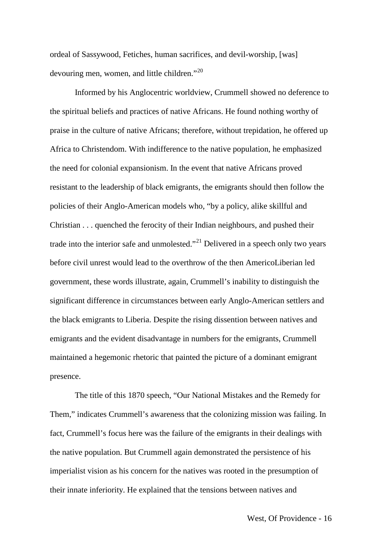ordeal of Sassywood, Fetiches, human sacrifices, and devil-worship, [was] devouring men, women, and little children."<sup>[20](#page-30-13)</sup>

Informed by his Anglocentric worldview, Crummell showed no deference to the spiritual beliefs and practices of native Africans. He found nothing worthy of praise in the culture of native Africans; therefore, without trepidation, he offered up Africa to Christendom. With indifference to the native population, he emphasized the need for colonial expansionism. In the event that native Africans proved resistant to the leadership of black emigrants, the emigrants should then follow the policies of their Anglo-American models who, "by a policy, alike skillful and Christian . . . quenched the ferocity of their Indian neighbours, and pushed their trade into the interior safe and unmolested."<sup>[21](#page-30-14)</sup> Delivered in a speech only two years before civil unrest would lead to the overthrow of the then AmericoLiberian led government, these words illustrate, again, Crummell's inability to distinguish the significant difference in circumstances between early Anglo-American settlers and the black emigrants to Liberia. Despite the rising dissention between natives and emigrants and the evident disadvantage in numbers for the emigrants, Crummell maintained a hegemonic rhetoric that painted the picture of a dominant emigrant presence.

The title of this 1870 speech, "Our National Mistakes and the Remedy for Them," indicates Crummell's awareness that the colonizing mission was failing. In fact, Crummell's focus here was the failure of the emigrants in their dealings with the native population. But Crummell again demonstrated the persistence of his imperialist vision as his concern for the natives was rooted in the presumption of their innate inferiority. He explained that the tensions between natives and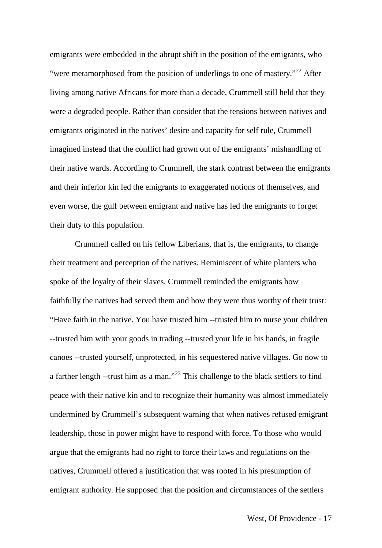emigrants were embedded in the abrupt shift in the position of the emigrants, who "were metamorphosed from the position of underlings to one of mastery."<sup>[22](#page-30-0)</sup> After living among native Africans for more than a decade, Crummell still held that they were a degraded people. Rather than consider that the tensions between natives and emigrants originated in the natives' desire and capacity for self rule, Crummell imagined instead that the conflict had grown out of the emigrants' mishandling of their native wards. According to Crummell, the stark contrast between the emigrants and their inferior kin led the emigrants to exaggerated notions of themselves, and even worse, the gulf between emigrant and native has led the emigrants to forget their duty to this population.

Crummell called on his fellow Liberians, that is, the emigrants, to change their treatment and perception of the natives. Reminiscent of white planters who spoke of the loyalty of their slaves, Crummell reminded the emigrants how faithfully the natives had served them and how they were thus worthy of their trust: "Have faith in the native. You have trusted him --trusted him to nurse your children --trusted him with your goods in trading --trusted your life in his hands, in fragile canoes --trusted yourself, unprotected, in his sequestered native villages. Go now to a farther length --trust him as a man."[23](#page-30-15) This challenge to the black settlers to find peace with their native kin and to recognize their humanity was almost immediately undermined by Crummell's subsequent warning that when natives refused emigrant leadership, those in power might have to respond with force. To those who would argue that the emigrants had no right to force their laws and regulations on the natives, Crummell offered a justification that was rooted in his presumption of emigrant authority. He supposed that the position and circumstances of the settlers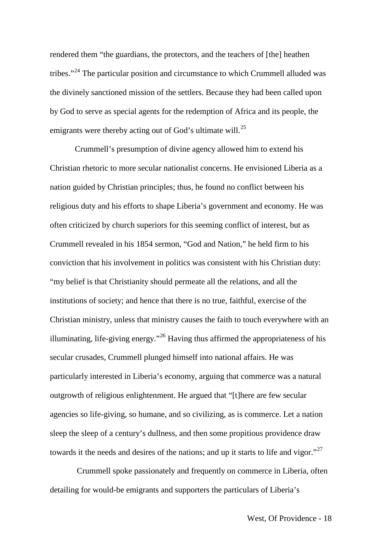rendered them "the guardians, the protectors, and the teachers of [the] heathen tribes."[24](#page-30-1) The particular position and circumstance to which Crummell alluded was the divinely sanctioned mission of the settlers. Because they had been called upon by God to serve as special agents for the redemption of Africa and its people, the emigrants were thereby acting out of God's ultimate will.<sup>[25](#page-30-16)</sup>

Crummell's presumption of divine agency allowed him to extend his Christian rhetoric to more secular nationalist concerns. He envisioned Liberia as a nation guided by Christian principles; thus, he found no conflict between his religious duty and his efforts to shape Liberia's government and economy. He was often criticized by church superiors for this seeming conflict of interest, but as Crummell revealed in his 1854 sermon, "God and Nation," he held firm to his conviction that his involvement in politics was consistent with his Christian duty: "my belief is that Christianity should permeate all the relations, and all the institutions of society; and hence that there is no true, faithful, exercise of the Christian ministry, unless that ministry causes the faith to touch everywhere with an illuminating, life-giving energy."<sup>[26](#page-30-7)</sup> Having thus affirmed the appropriateness of his secular crusades, Crummell plunged himself into national affairs. He was particularly interested in Liberia's economy, arguing that commerce was a natural outgrowth of religious enlightenment. He argued that "[t]here are few secular agencies so life-giving, so humane, and so civilizing, as is commerce. Let a nation sleep the sleep of a century's dullness, and then some propitious providence draw towards it the needs and desires of the nations; and up it starts to life and vigor."<sup>[27](#page-30-8)</sup>

Crummell spoke passionately and frequently on commerce in Liberia, often detailing for would-be emigrants and supporters the particulars of Liberia's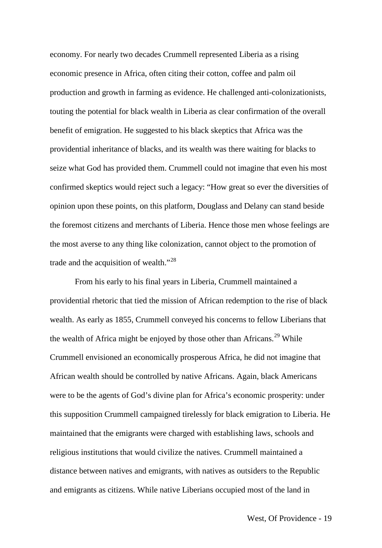economy. For nearly two decades Crummell represented Liberia as a rising economic presence in Africa, often citing their cotton, coffee and palm oil production and growth in farming as evidence. He challenged anti-colonizationists, touting the potential for black wealth in Liberia as clear confirmation of the overall benefit of emigration. He suggested to his black skeptics that Africa was the providential inheritance of blacks, and its wealth was there waiting for blacks to seize what God has provided them. Crummell could not imagine that even his most confirmed skeptics would reject such a legacy: "How great so ever the diversities of opinion upon these points, on this platform, Douglass and Delany can stand beside the foremost citizens and merchants of Liberia. Hence those men whose feelings are the most averse to any thing like colonization, cannot object to the promotion of trade and the acquisition of wealth."<sup>[28](#page-30-9)</sup>

From his early to his final years in Liberia, Crummell maintained a providential rhetoric that tied the mission of African redemption to the rise of black wealth. As early as 1855, Crummell conveyed his concerns to fellow Liberians that the wealth of Africa might be enjoyed by those other than  $A$ fricans.<sup>[29](#page-30-10)</sup> While Crummell envisioned an economically prosperous Africa, he did not imagine that African wealth should be controlled by native Africans. Again, black Americans were to be the agents of God's divine plan for Africa's economic prosperity: under this supposition Crummell campaigned tirelessly for black emigration to Liberia. He maintained that the emigrants were charged with establishing laws, schools and religious institutions that would civilize the natives. Crummell maintained a distance between natives and emigrants, with natives as outsiders to the Republic and emigrants as citizens. While native Liberians occupied most of the land in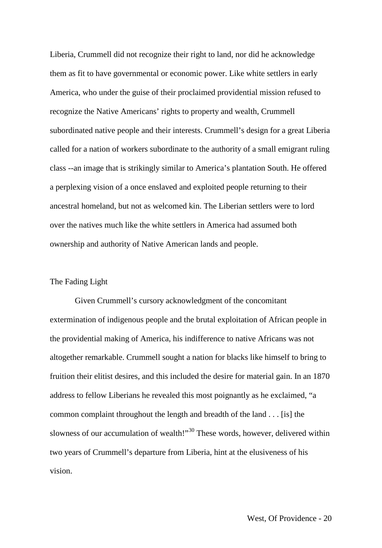Liberia, Crummell did not recognize their right to land, nor did he acknowledge them as fit to have governmental or economic power. Like white settlers in early America, who under the guise of their proclaimed providential mission refused to recognize the Native Americans' rights to property and wealth, Crummell subordinated native people and their interests. Crummell's design for a great Liberia called for a nation of workers subordinate to the authority of a small emigrant ruling class --an image that is strikingly similar to America's plantation South. He offered a perplexing vision of a once enslaved and exploited people returning to their ancestral homeland, but not as welcomed kin. The Liberian settlers were to lord over the natives much like the white settlers in America had assumed both ownership and authority of Native American lands and people.

#### The Fading Light

Given Crummell's cursory acknowledgment of the concomitant extermination of indigenous people and the brutal exploitation of African people in the providential making of America, his indifference to native Africans was not altogether remarkable. Crummell sought a nation for blacks like himself to bring to fruition their elitist desires, and this included the desire for material gain. In an 1870 address to fellow Liberians he revealed this most poignantly as he exclaimed, "a common complaint throughout the length and breadth of the land . . . [is] the slowness of our accumulation of wealth!"<sup>[30](#page-30-4)</sup> These words, however, delivered within two years of Crummell's departure from Liberia, hint at the elusiveness of his vision.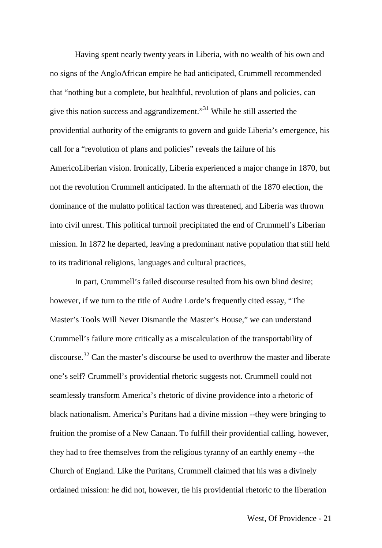Having spent nearly twenty years in Liberia, with no wealth of his own and no signs of the AngloAfrican empire he had anticipated, Crummell recommended that "nothing but a complete, but healthful, revolution of plans and policies, can give this nation success and aggrandizement."[31](#page-30-11) While he still asserted the providential authority of the emigrants to govern and guide Liberia's emergence, his call for a "revolution of plans and policies" reveals the failure of his AmericoLiberian vision. Ironically, Liberia experienced a major change in 1870, but not the revolution Crummell anticipated. In the aftermath of the 1870 election, the dominance of the mulatto political faction was threatened, and Liberia was thrown into civil unrest. This political turmoil precipitated the end of Crummell's Liberian mission. In 1872 he departed, leaving a predominant native population that still held to its traditional religions, languages and cultural practices,

In part, Crummell's failed discourse resulted from his own blind desire; however, if we turn to the title of Audre Lorde's frequently cited essay, "The Master's Tools Will Never Dismantle the Master's House," we can understand Crummell's failure more critically as a miscalculation of the transportability of discourse.[32](#page-30-5) Can the master's discourse be used to overthrow the master and liberate one's self? Crummell's providential rhetoric suggests not. Crummell could not seamlessly transform America's rhetoric of divine providence into a rhetoric of black nationalism. America's Puritans had a divine mission --they were bringing to fruition the promise of a New Canaan. To fulfill their providential calling, however, they had to free themselves from the religious tyranny of an earthly enemy --the Church of England. Like the Puritans, Crummell claimed that his was a divinely ordained mission: he did not, however, tie his providential rhetoric to the liberation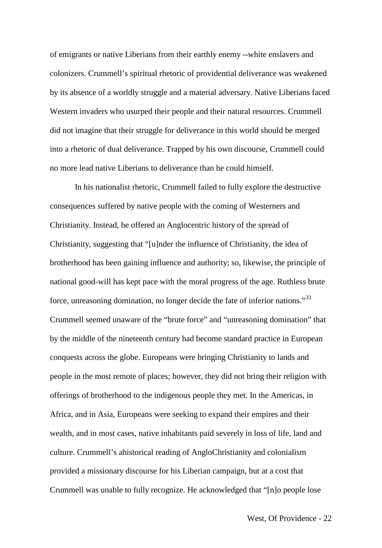of emigrants or native Liberians from their earthly enemy --white enslavers and colonizers. Crummell's spiritual rhetoric of providential deliverance was weakened by its absence of a worldly struggle and a material adversary. Native Liberians faced Western invaders who usurped their people and their natural resources. Crummell did not imagine that their struggle for deliverance in this world should be merged into a rhetoric of dual deliverance. Trapped by his own discourse, Crummell could no more lead native Liberians to deliverance than he could himself.

In his nationalist rhetoric, Crummell failed to fully explore the destructive consequences suffered by native people with the coming of Westerners and Christianity. Instead, he offered an Anglocentric history of the spread of Christianity, suggesting that "[u]nder the influence of Christianity, the idea of brotherhood has been gaining influence and authority; so, likewise, the principle of national good-will has kept pace with the moral progress of the age. Ruthless brute force, unreasoning domination, no longer decide the fate of inferior nations."[33](#page-30-6) Crummell seemed unaware of the "brute force" and "unreasoning domination" that by the middle of the nineteenth century had become standard practice in European conquests across the globe. Europeans were bringing Christianity to lands and people in the most remote of places; however, they did not bring their religion with offerings of brotherhood to the indigenous people they met. In the Americas, in Africa, and in Asia, Europeans were seeking to expand their empires and their wealth, and in most cases, native inhabitants paid severely in loss of life, land and culture. Crummell's ahistorical reading of AngloChristianity and colonialism provided a missionary discourse for his Liberian campaign, but at a cost that Crummell was unable to fully recognize. He acknowledged that "[n]o people lose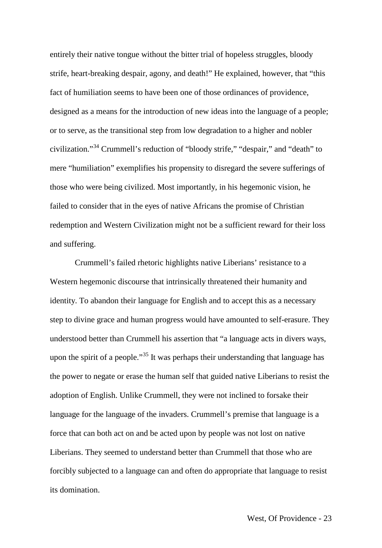entirely their native tongue without the bitter trial of hopeless struggles, bloody strife, heart-breaking despair, agony, and death!" He explained, however, that "this fact of humiliation seems to have been one of those ordinances of providence, designed as a means for the introduction of new ideas into the language of a people; or to serve, as the transitional step from low degradation to a higher and nobler civilization."[34](#page-30-13) Crummell's reduction of "bloody strife," "despair," and "death" to mere "humiliation" exemplifies his propensity to disregard the severe sufferings of those who were being civilized. Most importantly, in his hegemonic vision, he failed to consider that in the eyes of native Africans the promise of Christian redemption and Western Civilization might not be a sufficient reward for their loss and suffering.

Crummell's failed rhetoric highlights native Liberians' resistance to a Western hegemonic discourse that intrinsically threatened their humanity and identity. To abandon their language for English and to accept this as a necessary step to divine grace and human progress would have amounted to self-erasure. They understood better than Crummell his assertion that "a language acts in divers ways, upon the spirit of a people."<sup>[35](#page-30-17)</sup> It was perhaps their understanding that language has the power to negate or erase the human self that guided native Liberians to resist the adoption of English. Unlike Crummell, they were not inclined to forsake their language for the language of the invaders. Crummell's premise that language is a force that can both act on and be acted upon by people was not lost on native Liberians. They seemed to understand better than Crummell that those who are forcibly subjected to a language can and often do appropriate that language to resist its domination.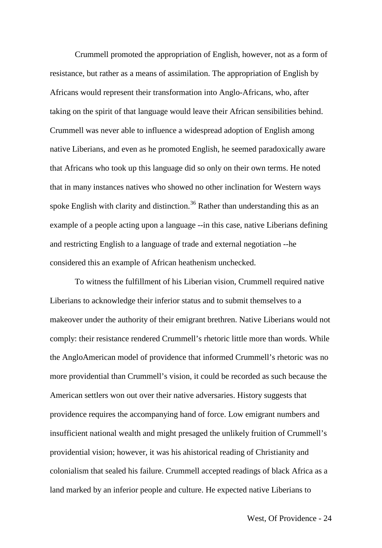Crummell promoted the appropriation of English, however, not as a form of resistance, but rather as a means of assimilation. The appropriation of English by Africans would represent their transformation into Anglo-Africans, who, after taking on the spirit of that language would leave their African sensibilities behind. Crummell was never able to influence a widespread adoption of English among native Liberians, and even as he promoted English, he seemed paradoxically aware that Africans who took up this language did so only on their own terms. He noted that in many instances natives who showed no other inclination for Western ways spoke English with clarity and distinction.<sup>[36](#page-30-14)</sup> Rather than understanding this as an example of a people acting upon a language --in this case, native Liberians defining and restricting English to a language of trade and external negotiation --he considered this an example of African heathenism unchecked.

To witness the fulfillment of his Liberian vision, Crummell required native Liberians to acknowledge their inferior status and to submit themselves to a makeover under the authority of their emigrant brethren. Native Liberians would not comply: their resistance rendered Crummell's rhetoric little more than words. While the AngloAmerican model of providence that informed Crummell's rhetoric was no more providential than Crummell's vision, it could be recorded as such because the American settlers won out over their native adversaries. History suggests that providence requires the accompanying hand of force. Low emigrant numbers and insufficient national wealth and might presaged the unlikely fruition of Crummell's providential vision; however, it was his ahistorical reading of Christianity and colonialism that sealed his failure. Crummell accepted readings of black Africa as a land marked by an inferior people and culture. He expected native Liberians to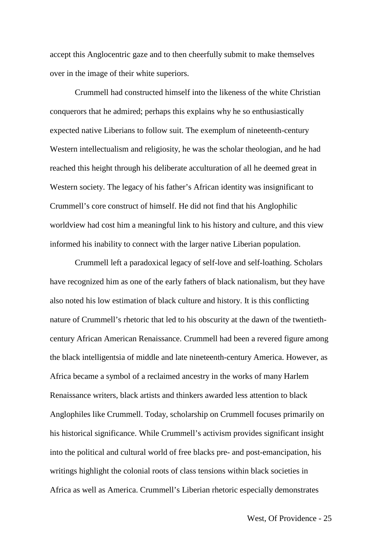accept this Anglocentric gaze and to then cheerfully submit to make themselves over in the image of their white superiors.

Crummell had constructed himself into the likeness of the white Christian conquerors that he admired; perhaps this explains why he so enthusiastically expected native Liberians to follow suit. The exemplum of nineteenth-century Western intellectualism and religiosity, he was the scholar theologian, and he had reached this height through his deliberate acculturation of all he deemed great in Western society. The legacy of his father's African identity was insignificant to Crummell's core construct of himself. He did not find that his Anglophilic worldview had cost him a meaningful link to his history and culture, and this view informed his inability to connect with the larger native Liberian population.

Crummell left a paradoxical legacy of self-love and self-loathing. Scholars have recognized him as one of the early fathers of black nationalism, but they have also noted his low estimation of black culture and history. It is this conflicting nature of Crummell's rhetoric that led to his obscurity at the dawn of the twentiethcentury African American Renaissance. Crummell had been a revered figure among the black intelligentsia of middle and late nineteenth-century America. However, as Africa became a symbol of a reclaimed ancestry in the works of many Harlem Renaissance writers, black artists and thinkers awarded less attention to black Anglophiles like Crummell. Today, scholarship on Crummell focuses primarily on his historical significance. While Crummell's activism provides significant insight into the political and cultural world of free blacks pre- and post-emancipation, his writings highlight the colonial roots of class tensions within black societies in Africa as well as America. Crummell's Liberian rhetoric especially demonstrates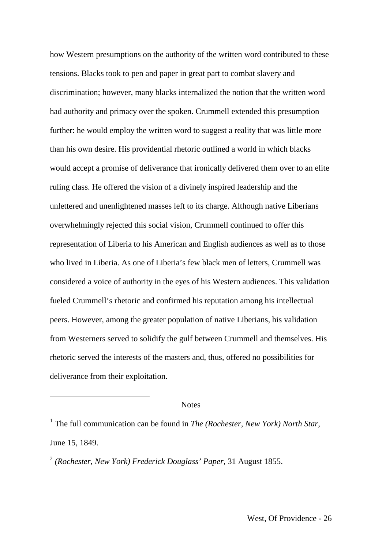how Western presumptions on the authority of the written word contributed to these tensions. Blacks took to pen and paper in great part to combat slavery and discrimination; however, many blacks internalized the notion that the written word had authority and primacy over the spoken. Crummell extended this presumption further: he would employ the written word to suggest a reality that was little more than his own desire. His providential rhetoric outlined a world in which blacks would accept a promise of deliverance that ironically delivered them over to an elite ruling class. He offered the vision of a divinely inspired leadership and the unlettered and unenlightened masses left to its charge. Although native Liberians overwhelmingly rejected this social vision, Crummell continued to offer this representation of Liberia to his American and English audiences as well as to those who lived in Liberia. As one of Liberia's few black men of letters, Crummell was considered a voice of authority in the eyes of his Western audiences. This validation fueled Crummell's rhetoric and confirmed his reputation among his intellectual peers. However, among the greater population of native Liberians, his validation from Westerners served to solidify the gulf between Crummell and themselves. His rhetoric served the interests of the masters and, thus, offered no possibilities for deliverance from their exploitation.

#### **Notes**

<sup>1</sup> The full communication can be found in *The (Rochester, New York) North Star*, June 15, 1849.

<sup>2</sup> *(Rochester, New York) Frederick Douglass' Paper*, 31 August 1855.

<u>.</u>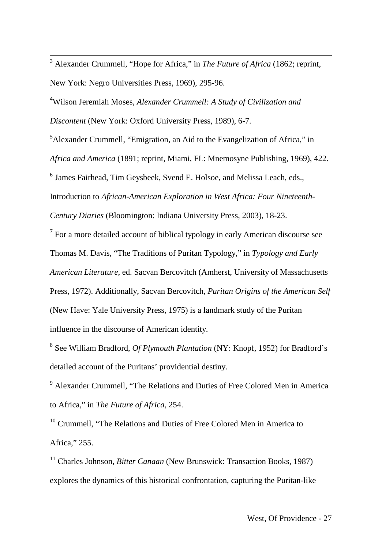3 Alexander Crummell, "Hope for Africa," in *The Future of Africa* (1862; reprint, New York: Negro Universities Press, 1969), 295-96.

4 Wilson Jeremiah Moses, *Alexander Crummell: A Study of Civilization and Discontent* (New York: Oxford University Press, 1989), 6-7.

<sup>5</sup>Alexander Crummell, "Emigration, an Aid to the Evangelization of Africa," in

*Africa and America* (1891; reprint, Miami, FL: Mnemosyne Publishing, 1969), 422.

<sup>6</sup> James Fairhead, Tim Geysbeek, Svend E. Holsoe, and Melissa Leach, eds.,

Introduction to *African-American Exploration in West Africa: Four Nineteenth-*

*Century Diaries* (Bloomington: Indiana University Press, 2003), 18-23.

 $<sup>7</sup>$  For a more detailed account of biblical typology in early American discourse see</sup> Thomas M. Davis, "The Traditions of Puritan Typology," in *Typology and Early American Literature*, ed. Sacvan Bercovitch (Amherst, University of Massachusetts Press, 1972). Additionally, Sacvan Bercovitch, *Puritan Origins of the American Self* (New Have: Yale University Press, 1975) is a landmark study of the Puritan influence in the discourse of American identity.

<sup>8</sup> See William Bradford, *Of Plymouth Plantation* (NY: Knopf, 1952) for Bradford's detailed account of the Puritans' providential destiny.

<sup>9</sup> Alexander Crummell, "The Relations and Duties of Free Colored Men in America to Africa," in *The Future of Africa*, 254.

<span id="page-27-0"></span><sup>10</sup> Crummell, "The Relations and Duties of Free Colored Men in America to Africa," 255.

<sup>11</sup> Charles Johnson, *Bitter Canaan* (New Brunswick: Transaction Books, 1987) explores the dynamics of this historical confrontation, capturing the Puritan-like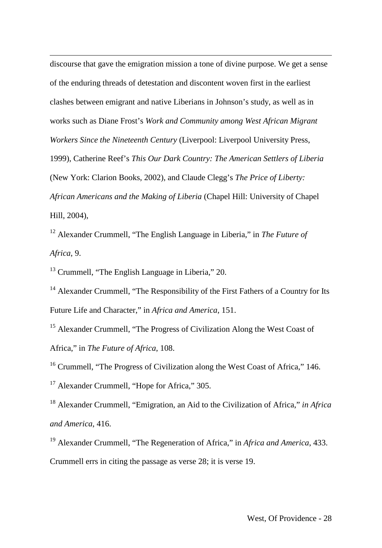discourse that gave the emigration mission a tone of divine purpose. We get a sense of the enduring threads of detestation and discontent woven first in the earliest clashes between emigrant and native Liberians in Johnson's study, as well as in works such as Diane Frost's *Work and Community among West African Migrant Workers Since the Nineteenth Century* (Liverpool: Liverpool University Press, 1999), Catherine Reef's *This Our Dark Country: The American Settlers of Liberia*  (New York: Clarion Books, 2002), and Claude Clegg's *The Price of Liberty: African Americans and the Making of Liberia* (Chapel Hill: University of Chapel Hill, 2004),

<sup>12</sup> Alexander Crummell, "The English Language in Liberia," in *The Future of Africa*, 9.

<sup>13</sup> Crummell, "The English Language in Liberia," 20.

-

<sup>14</sup> Alexander Crummell, "The Responsibility of the First Fathers of a Country for Its Future Life and Character," in *Africa and America*, 151.

<sup>15</sup> Alexander Crummell, "The Progress of Civilization Along the West Coast of Africa," in *The Future of Africa*, 108.

<sup>16</sup> Crummell, "The Progress of Civilization along the West Coast of Africa," 146.

<sup>17</sup> Alexander Crummell, "Hope for Africa," 305.

<sup>18</sup> Alexander Crummell, "Emigration, an Aid to the Civilization of Africa," *in Africa and America*, 416.

<span id="page-28-0"></span><sup>19</sup> Alexander Crummell, "The Regeneration of Africa," in *Africa and America*, 433. Crummell errs in citing the passage as verse 28; it is verse 19.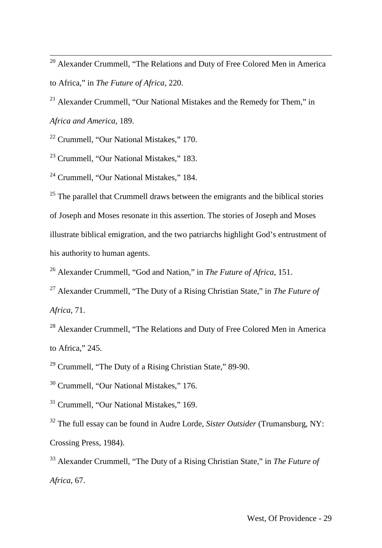<span id="page-29-0"></span><sup>20</sup> Alexander Crummell, "The Relations and Duty of Free Colored Men in America to Africa," in *The Future of Africa*, 220.

<span id="page-29-1"></span> $21$  Alexander Crummell, "Our National Mistakes and the Remedy for Them," in *Africa and America*, 189.

<sup>22</sup> Crummell, "Our National Mistakes," 170.

<sup>23</sup> Crummell, "Our National Mistakes," 183.

<sup>24</sup> Crummell, "Our National Mistakes," 184.

 $25$  The parallel that Crummell draws between the emigrants and the biblical stories of Joseph and Moses resonate in this assertion. The stories of Joseph and Moses illustrate biblical emigration, and the two patriarchs highlight God's entrustment of his authority to human agents.

<sup>26</sup> Alexander Crummell, "God and Nation," in *The Future of Africa*, 151.

<sup>27</sup> Alexander Crummell, "The Duty of a Rising Christian State," in *The Future of Africa*, 71.

<sup>28</sup> Alexander Crummell, "The Relations and Duty of Free Colored Men in America to Africa," 245.

 $29$  Crummell, "The Duty of a Rising Christian State," 89-90.

<sup>30</sup> Crummell, "Our National Mistakes," 176.

<sup>31</sup> Crummell, "Our National Mistakes," 169.

<sup>32</sup> The full essay can be found in Audre Lorde, *Sister Outsider* (Trumansburg, NY: Crossing Press, 1984).

<sup>33</sup> Alexander Crummell, "The Duty of a Rising Christian State," in *The Future of Africa*, 67.